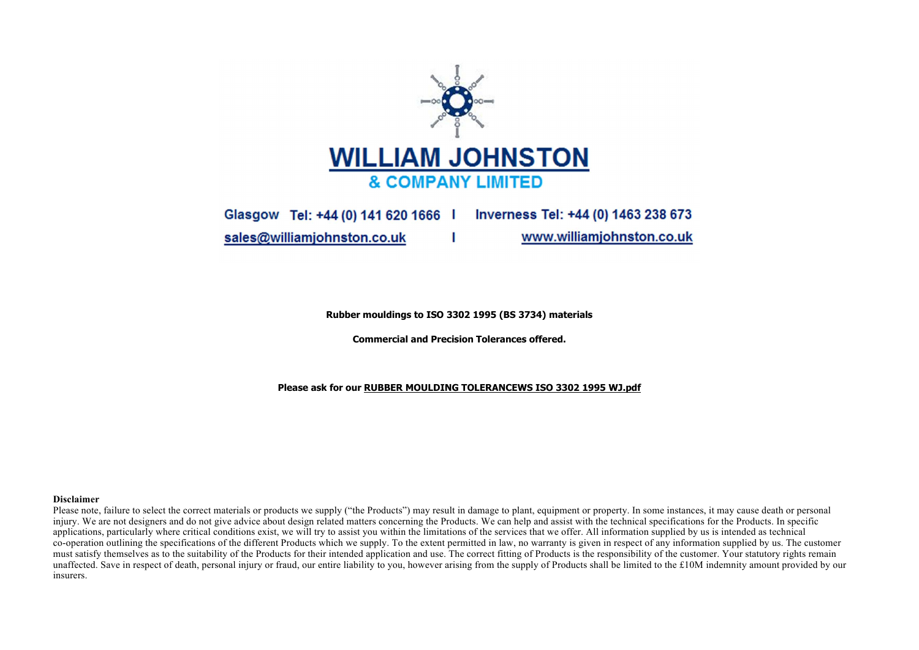

Glasgow Tel: +44 (0) 141 620 1666 | Inverness Tel: +44 (0) 1463 238 673 www.williamjohnston.co.uk sales@williamjohnston.co.uk

Rubber mouldings to ISO 3302 1995 (BS 3734) materials

Commercial and Precision Tolerances offered.

Please ask for our RUBBER MOULDING TOLERANCEWS ISO 3302 1995 WJ.pdf

## **Disclaimer**

Please note, failure to select the correct materials or products we supply ("the Products") may result in damage to plant, equipment or property. In some instances, it may cause death or personal injury. We are not designers and do not give advice about design related matters concerning the Products. We can help and assist with the technical specifications for the Products. In specific applications, particularly where critical conditions exist, we will try to assist you within the limitations of the services that we offer. All information supplied by us is intended as technical co-operation outlining the specifications of the different Products which we supply. To the extent permitted in law, no warranty is given in respect of any information supplied by us. The customer must satisfy themselves as to the suitability of the Products for their intended application and use. The correct fitting of Products is the responsibility of the customer. Your statutory rights remain unaffected. Save in respect of death, personal injury or fraud, our entire liability to you, however arising from the supply of Products shall be limited to the £10M indemnity amount provided by our insurers.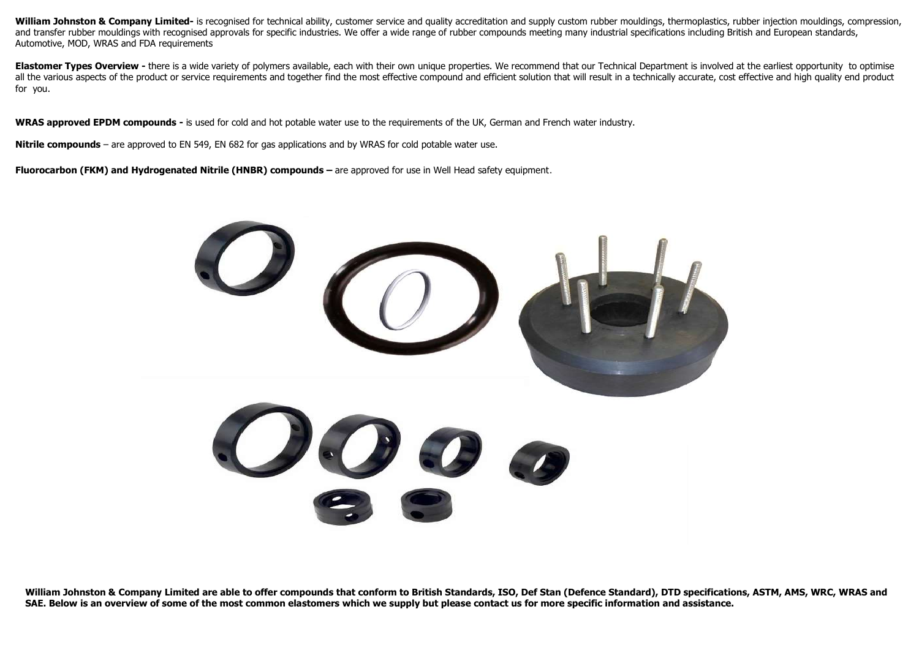William Johnston & Company Limited- is recognised for technical ability, customer service and quality accreditation and supply custom rubber mouldings, thermoplastics, rubber injection mouldings, compression, and transfer rubber mouldings with recognised approvals for specific industries. We offer a wide range of rubber compounds meeting many industrial specifications including British and European standards, Automotive, MOD, WRAS and FDA requirements

Elastomer Types Overview - there is a wide variety of polymers available, each with their own unique properties. We recommend that our Technical Department is involved at the earliest opportunity to optimise all the various aspects of the product or service requirements and together find the most effective compound and efficient solution that will result in a technically accurate, cost effective and high quality end product for you.

WRAS approved EPDM compounds - is used for cold and hot potable water use to the requirements of the UK, German and French water industry.

Nitrile compounds – are approved to EN 549, EN 682 for gas applications and by WRAS for cold potable water use.

Fluorocarbon (FKM) and Hydrogenated Nitrile (HNBR) compounds – are approved for use in Well Head safety equipment.



William Johnston & Company Limited are able to offer compounds that conform to British Standards, ISO, Def Stan (Defence Standard), DTD specifications, ASTM, AMS, WRC, WRAS and SAE. Below is an overview of some of the most common elastomers which we supply but please contact us for more specific information and assistance.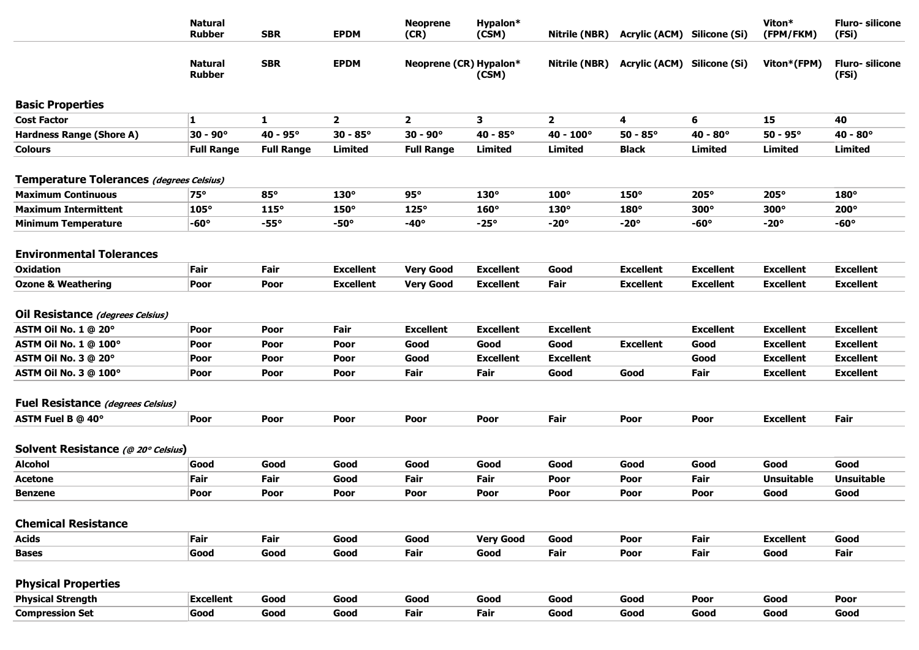|                                                                   | <b>Natural</b><br><b>Rubber</b> | <b>SBR</b>        | <b>EPDM</b>       | <b>Neoprene</b><br>(CR) | Hypalon*<br>(CSM)        | Nitrile (NBR)            | Acrylic (ACM) Silicone (Si) |                   | Viton*<br>(FPM/FKM)                  | <b>Fluro-silicone</b><br>(FSi)       |
|-------------------------------------------------------------------|---------------------------------|-------------------|-------------------|-------------------------|--------------------------|--------------------------|-----------------------------|-------------------|--------------------------------------|--------------------------------------|
|                                                                   | <b>Natural</b><br><b>Rubber</b> | <b>SBR</b>        | <b>EPDM</b>       | Neoprene (CR) Hypalon*  | (CSM)                    | Nitrile (NBR)            | Acrylic (ACM) Silicone (Si) |                   | Viton*(FPM)                          | <b>Fluro-</b> silicone<br>(FSi)      |
| <b>Basic Properties</b>                                           |                                 |                   |                   |                         |                          |                          |                             |                   |                                      |                                      |
| <b>Cost Factor</b>                                                | $\mathbf{1}$                    | $\mathbf{1}$      | $\mathbf{2}$      | $\mathbf{2}$            | 3                        | $\overline{2}$           | 4                           | 6                 | 15                                   | 40                                   |
| <b>Hardness Range (Shore A)</b>                                   | $30 - 90^{\circ}$               | $40 - 95^{\circ}$ | $30 - 85^{\circ}$ | $30 - 90^{\circ}$       | $40 - 85^{\circ}$        | $40 - 100^{\circ}$       | $50 - 85^{\circ}$           | $40 - 80^{\circ}$ | $50 - 95^{\circ}$                    | $40 - 80^{\circ}$                    |
| <b>Colours</b>                                                    | <b>Full Range</b>               | <b>Full Range</b> | <b>Limited</b>    | <b>Full Range</b>       | Limited                  | <b>Limited</b>           | <b>Black</b>                | Limited           | Limited                              | <b>Limited</b>                       |
| Temperature Tolerances (degrees Celsius)                          |                                 |                   |                   |                         |                          |                          |                             |                   |                                      |                                      |
| <b>Maximum Continuous</b>                                         | $75^\circ$                      | $85^\circ$        | 130°              | $95^\circ$              | $130^\circ$              | $100^\circ$              | $150^\circ$                 | $205^\circ$       | $205^\circ$                          | $180^\circ$                          |
| <b>Maximum Intermittent</b>                                       | $105^\circ$                     | $115^\circ$       | 150°              | $125^\circ$             | $160^\circ$              | 130°                     | $180^\circ$                 | $300^\circ$       | $300^\circ$                          | $200^\circ$                          |
| <b>Minimum Temperature</b>                                        | $-60^\circ$                     | $-55^\circ$       | $-50^\circ$       | $-40^\circ$             | $-25^\circ$              | $-20^\circ$              | $-20^\circ$                 | $-60^\circ$       | $-20^\circ$                          | $-60^\circ$                          |
| <b>Environmental Tolerances</b>                                   |                                 |                   |                   |                         |                          |                          |                             |                   |                                      |                                      |
| <b>Oxidation</b>                                                  | Fair                            | Fair              | <b>Excellent</b>  | <b>Very Good</b>        | <b>Excellent</b>         | Good                     | <b>Excellent</b>            | <b>Excellent</b>  | <b>Excellent</b>                     | <b>Excellent</b>                     |
| <b>Ozone &amp; Weathering</b>                                     | Poor                            | Poor              | <b>Excellent</b>  | <b>Very Good</b>        | <b>Excellent</b>         | Fair                     | <b>Excellent</b>            | <b>Excellent</b>  | <b>Excellent</b>                     | <b>Excellent</b>                     |
| Oil Resistance (degrees Celsius)                                  |                                 |                   |                   | <b>Excellent</b>        | <b>Excellent</b>         |                          |                             | <b>Excellent</b>  |                                      | <b>Excellent</b>                     |
| ASTM Oil No. 1 @ 20°                                              | Poor<br>Poor                    | Poor<br>Poor      | Fair<br>Poor      | Good                    | Good                     | <b>Excellent</b><br>Good | <b>Excellent</b>            | Good              | <b>Excellent</b><br><b>Excellent</b> | <b>Excellent</b>                     |
| <b>ASTM Oil No. 1 @ 100°</b>                                      |                                 |                   |                   |                         |                          |                          |                             |                   |                                      |                                      |
| ASTM Oil No. 3 @ 20°                                              | Poor                            | Poor              | Poor<br>Poor      | Good<br>Fair            | <b>Excellent</b><br>Fair | <b>Excellent</b><br>Good | Good                        | Good<br>Fair      | <b>Excellent</b><br><b>Excellent</b> | <b>Excellent</b><br><b>Excellent</b> |
| <b>ASTM Oil No. 3 @ 100°</b><br>Fuel Resistance (degrees Celsius) | Poor                            | Poor              |                   |                         |                          |                          |                             |                   |                                      |                                      |
| ASTM Fuel B @ 40°                                                 | Poor                            | Poor              | Poor              | Poor                    | Poor                     | Fair                     | Poor                        | Poor              | <b>Excellent</b>                     | Fair                                 |
| Solvent Resistance (@ 20° Celsius)                                |                                 |                   |                   |                         |                          |                          |                             |                   |                                      |                                      |
| <b>Alcohol</b>                                                    | Good                            | Good              | Good              | Good                    | Good                     | Good                     | Good                        | Good              | Good                                 | Good                                 |
| Acetone                                                           | Fair                            | Fair              | Good              | Fair                    | Fair                     | Poor                     | Poor                        | Fair              | <b>Unsuitable</b>                    | <b>Unsuitable</b>                    |
| <b>Benzene</b>                                                    | Poor                            | Poor              | Poor              | Poor                    | Poor                     | Poor                     | Poor                        | Poor              | Good                                 | Good                                 |
| <b>Chemical Resistance</b>                                        |                                 |                   |                   |                         |                          |                          |                             |                   |                                      |                                      |
| <b>Acids</b>                                                      | Fair                            | Fair              | Good              | Good                    | <b>Very Good</b>         | Good                     | Poor                        | Fair              | <b>Excellent</b>                     | Good                                 |
| <b>Bases</b>                                                      | Good                            | Good              | Good              | Fair                    | Good                     | Fair                     | Poor                        | Fair              | Good                                 | Fair                                 |
| <b>Physical Properties</b>                                        |                                 |                   |                   |                         |                          |                          |                             |                   |                                      |                                      |
| <b>Physical Strength</b>                                          | <b>Excellent</b>                | Good              | Good              | Good                    | Good                     | Good                     | Good                        | Poor              | Good                                 | Poor                                 |
| <b>Compression Set</b>                                            | Good                            | Good              | Good              | Fair                    | Fair                     | Good                     | Good                        | Good              | Good                                 | Good                                 |